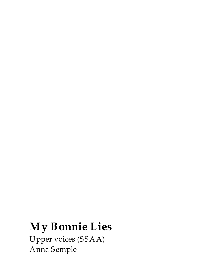## **My Bonnie Lies**

Upper voices (SSAA) Anna Semple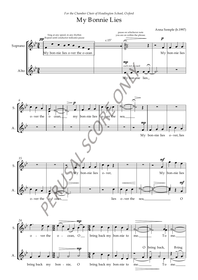## My Bonnie Lies